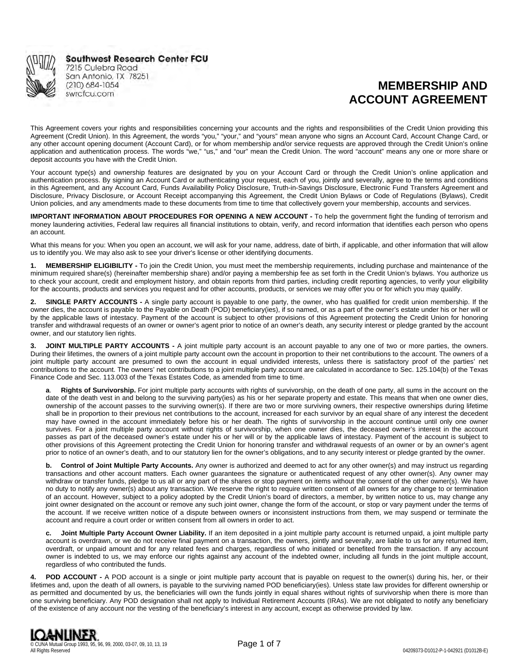

**Southwest Research Center FCU** 7215 Culebra Road

San Antonio, TX 78251 (210) 684-1054 swrcfcu.com

# **MEMBERSHIP AND ACCOUNT AGREEMENT**

This Agreement covers your rights and responsibilities concerning your accounts and the rights and responsibilities of the Credit Union providing this Agreement (Credit Union). In this Agreement, the words "you," "your," and "yours" mean anyone who signs an Account Card, Account Change Card, or any other account opening document (Account Card), or for whom membership and/or service requests are approved through the Credit Union's online application and authentication process. The words "we," "us," and "our" mean the Credit Union. The word "account" means any one or more share or deposit accounts you have with the Credit Union.

Your account type(s) and ownership features are designated by you on your Account Card or through the Credit Union's online application and authentication process. By signing an Account Card or authenticating your request, each of you, jointly and severally, agree to the terms and conditions in this Agreement, and any Account Card, Funds Availability Policy Disclosure, Truth-in-Savings Disclosure, Electronic Fund Transfers Agreement and Disclosure, Privacy Disclosure, or Account Receipt accompanying this Agreement, the Credit Union Bylaws or Code of Regulations (Bylaws), Credit Union policies, and any amendments made to these documents from time to time that collectively govern your membership, accounts and services.

**IMPORTANT INFORMATION ABOUT PROCEDURES FOR OPENING A NEW ACCOUNT -** To help the government fight the funding of terrorism and money laundering activities, Federal law requires all financial institutions to obtain, verify, and record information that identifies each person who opens an account.

What this means for you: When you open an account, we will ask for your name, address, date of birth, if applicable, and other information that will allow us to identify you. We may also ask to see your driver's license or other identifying documents.

**1. MEMBERSHIP ELIGIBILITY -** To join the Credit Union, you must meet the membership requirements, including purchase and maintenance of the minimum required share(s) (hereinafter membership share) and/or paying a membership fee as set forth in the Credit Union's bylaws. You authorize us to check your account, credit and employment history, and obtain reports from third parties, including credit reporting agencies, to verify your eligibility for the accounts, products and services you request and for other accounts, products, or services we may offer you or for which you may qualify.

**2. SINGLE PARTY ACCOUNTS -** A single party account is payable to one party, the owner, who has qualified for credit union membership. If the owner dies, the account is payable to the Payable on Death (POD) beneficiary(ies), if so named, or as a part of the owner's estate under his or her will or by the applicable laws of intestacy. Payment of the account is subject to other provisions of this Agreement protecting the Credit Union for honoring transfer and withdrawal requests of an owner or owner's agent prior to notice of an owner's death, any security interest or pledge granted by the account owner, and our statutory lien rights.

**3. JOINT MULTIPLE PARTY ACCOUNTS -** A joint multiple party account is an account payable to any one of two or more parties, the owners. During their lifetimes, the owners of a joint multiple party account own the account in proportion to their net contributions to the account. The owners of a joint multiple party account are presumed to own the account in equal undivided interests, unless there is satisfactory proof of the parties' net contributions to the account. The owners' net contributions to a joint multiple party account are calculated in accordance to Sec. 125.104(b) of the Texas Finance Code and Sec. 113.003 of the Texas Estates Code, as amended from time to time.

**a**. **Rights of Survivorship.** For joint multiple party accounts with rights of survivorship, on the death of one party, all sums in the account on the date of the death vest in and belong to the surviving party(ies) as his or her separate property and estate. This means that when one owner dies, ownership of the account passes to the surviving owner(s). If there are two or more surviving owners, their respective ownerships during lifetime shall be in proportion to their previous net contributions to the account, increased for each survivor by an equal share of any interest the decedent may have owned in the account immediately before his or her death. The rights of survivorship in the account continue until only one owner survives. For a joint multiple party account without rights of survivorship, when one owner dies, the deceased owner's interest in the account passes as part of the deceased owner's estate under his or her will or by the applicable laws of intestacy. Payment of the account is subject to other provisions of this Agreement protecting the Credit Union for honoring transfer and withdrawal requests of an owner or by an owner's agent prior to notice of an owner's death, and to our statutory lien for the owner's obligations, and to any security interest or pledge granted by the owner.

**b. Control of Joint Multiple Party Accounts.** Any owner is authorized and deemed to act for any other owner(s) and may instruct us regarding transactions and other account matters. Each owner guarantees the signature or authenticated request of any other owner(s). Any owner may withdraw or transfer funds, pledge to us all or any part of the shares or stop payment on items without the consent of the other owner(s). We have no duty to notify any owner(s) about any transaction. We reserve the right to require written consent of all owners for any change to or termination of an account. However, subject to a policy adopted by the Credit Union's board of directors, a member, by written notice to us, may change any joint owner designated on the account or remove any such joint owner, change the form of the account, or stop or vary payment under the terms of the account. If we receive written notice of a dispute between owners or inconsistent instructions from them, we may suspend or terminate the account and require a court order or written consent from all owners in order to act.

**c. Joint Multiple Party Account Owner Liability.** If an item deposited in a joint multiple party account is returned unpaid, a joint multiple party account is overdrawn, or we do not receive final payment on a transaction, the owners, jointly and severally, are liable to us for any returned item, overdraft, or unpaid amount and for any related fees and charges, regardless of who initiated or benefited from the transaction. If any account owner is indebted to us, we may enforce our rights against any account of the indebted owner, including all funds in the joint multiple account, regardless of who contributed the funds.

**4. POD ACCOUNT -** A POD account is a single or joint multiple party account that is payable on request to the owner(s) during his, her, or their lifetimes and, upon the death of all owners, is payable to the surviving named POD beneficiary(ies). Unless state law provides for different ownership or as permitted and documented by us, the beneficiaries will own the funds jointly in equal shares without rights of survivorship when there is more than one surviving beneficiary. Any POD designation shall not apply to Individual Retirement Accounts (IRAs). We are not obligated to notify any beneficiary of the existence of any account nor the vesting of the beneficiary's interest in any account, except as otherwise provided by law.

© CUNA Mutual Group 1993, 95, 96, 99, 2000, 03-07, 09, 10, 13, 19 All Rights Reserved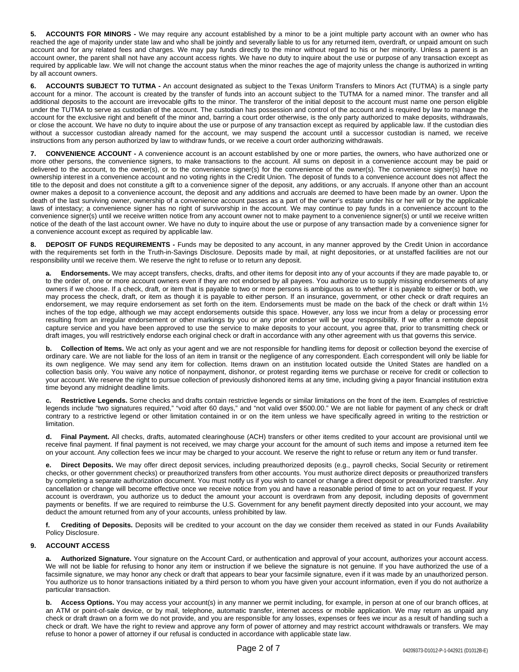**5. ACCOUNTS FOR MINORS -** We may require any account established by a minor to be a joint multiple party account with an owner who has reached the age of majority under state law and who shall be jointly and severally liable to us for any returned item, overdraft, or unpaid amount on such account and for any related fees and charges. We may pay funds directly to the minor without regard to his or her minority. Unless a parent is an account owner, the parent shall not have any account access rights. We have no duty to inquire about the use or purpose of any transaction except as required by applicable law. We will not change the account status when the minor reaches the age of majority unless the change is authorized in writing by all account owners.

**6. ACCOUNTS SUBJECT TO TUTMA -** An account designated as subject to the Texas Uniform Transfers to Minors Act (TUTMA) is a single party account for a minor. The account is created by the transfer of funds into an account subject to the TUTMA for a named minor. The transfer and all additional deposits to the account are irrevocable gifts to the minor. The transferor of the initial deposit to the account must name one person eligible under the TUTMA to serve as custodian of the account. The custodian has possession and control of the account and is required by law to manage the account for the exclusive right and benefit of the minor and, barring a court order otherwise, is the only party authorized to make deposits, withdrawals, or close the account. We have no duty to inquire about the use or purpose of any transaction except as required by applicable law. If the custodian dies without a successor custodian already named for the account, we may suspend the account until a successor custodian is named, we receive instructions from any person authorized by law to withdraw funds, or we receive a court order authorizing withdrawals.

**7. CONVENIENCE ACCOUNT -** A convenience account is an account established by one or more parties, the owners, who have authorized one or more other persons, the convenience signers, to make transactions to the account. All sums on deposit in a convenience account may be paid or delivered to the account, to the owner(s), or to the convenience signer(s) for the convenience of the owner(s). The convenience signer(s) have no ownership interest in a convenience account and no voting rights in the Credit Union. The deposit of funds to a convenience account does not affect the title to the deposit and does not constitute a gift to a convenience signer of the deposit, any additions, or any accruals. If anyone other than an account owner makes a deposit to a convenience account, the deposit and any additions and accruals are deemed to have been made by an owner. Upon the death of the last surviving owner, ownership of a convenience account passes as a part of the owner's estate under his or her will or by the applicable laws of intestacy; a convenience signer has no right of survivorship in the account. We may continue to pay funds in a convenience account to the convenience signer(s) until we receive written notice from any account owner not to make payment to a convenience signer(s) or until we receive written notice of the death of the last account owner. We have no duty to inquire about the use or purpose of any transaction made by a convenience signer for a convenience account except as required by applicable law.

**DEPOSIT OF FUNDS REQUIREMENTS -** Funds may be deposited to any account, in any manner approved by the Credit Union in accordance with the requirements set forth in the Truth-in-Savings Disclosure. Deposits made by mail, at night depositories, or at unstaffed facilities are not our responsibility until we receive them. We reserve the right to refuse or to return any deposit.

**a. Endorsements.** We may accept transfers, checks, drafts, and other items for deposit into any of your accounts if they are made payable to, or to the order of, one or more account owners even if they are not endorsed by all payees. You authorize us to supply missing endorsements of any owners if we choose. If a check, draft, or item that is payable to two or more persons is ambiguous as to whether it is payable to either or both, we may process the check, draft, or item as though it is payable to either person. If an insurance, government, or other check or draft requires an endorsement, we may require endorsement as set forth on the item. Endorsements must be made on the back of the check or draft within 1½ inches of the top edge, although we may accept endorsements outside this space. However, any loss we incur from a delay or processing error resulting from an irregular endorsement or other markings by you or any prior endorser will be your responsibility. If we offer a remote deposit capture service and you have been approved to use the service to make deposits to your account, you agree that, prior to transmitting check or draft images, you will restrictively endorse each original check or draft in accordance with any other agreement with us that governs this service.

**b.** Collection of Items. We act only as your agent and we are not responsible for handling items for deposit or collection beyond the exercise of ordinary care. We are not liable for the loss of an item in transit or the negligence of any correspondent. Each correspondent will only be liable for its own negligence. We may send any item for collection. Items drawn on an institution located outside the United States are handled on a collection basis only. You waive any notice of nonpayment, dishonor, or protest regarding items we purchase or receive for credit or collection to your account. We reserve the right to pursue collection of previously dishonored items at any time, including giving a payor financial institution extra time beyond any midnight deadline limits.

**c. Restrictive Legends.** Some checks and drafts contain restrictive legends or similar limitations on the front of the item. Examples of restrictive legends include "two signatures required," "void after 60 days," and "not valid over \$500.00." We are not liable for payment of any check or draft contrary to a restrictive legend or other limitation contained in or on the item unless we have specifically agreed in writing to the restriction or limitation.

**d. Final Payment.** All checks, drafts, automated clearinghouse (ACH) transfers or other items credited to your account are provisional until we receive final payment. If final payment is not received, we may charge your account for the amount of such items and impose a returned item fee on your account. Any collection fees we incur may be charged to your account. We reserve the right to refuse or return any item or fund transfer.

Direct Deposits. We may offer direct deposit services, including preauthorized deposits (e.g., payroll checks, Social Security or retirement checks, or other government checks) or preauthorized transfers from other accounts. You must authorize direct deposits or preauthorized transfers by completing a separate authorization document. You must notify us if you wish to cancel or change a direct deposit or preauthorized transfer. Any cancellation or change will become effective once we receive notice from you and have a reasonable period of time to act on your request. If your account is overdrawn, you authorize us to deduct the amount your account is overdrawn from any deposit, including deposits of government payments or benefits. If we are required to reimburse the U.S. Government for any benefit payment directly deposited into your account, we may deduct the amount returned from any of your accounts, unless prohibited by law.

**f. Crediting of Deposits.** Deposits will be credited to your account on the day we consider them received as stated in our Funds Availability Policy Disclosure.

# **9. ACCOUNT ACCESS**

Authorized Signature. Your signature on the Account Card, or authentication and approval of your account, authorizes your account access. We will not be liable for refusing to honor any item or instruction if we believe the signature is not genuine. If you have authorized the use of a facsimile signature, we may honor any check or draft that appears to bear your facsimile signature, even if it was made by an unauthorized person. You authorize us to honor transactions initiated by a third person to whom you have given your account information, even if you do not authorize a particular transaction.

**b.** Access Options. You may access your account(s) in any manner we permit including, for example, in person at one of our branch offices, at an ATM or point-of-sale device, or by mail, telephone, automatic transfer, internet access or mobile application. We may return as unpaid any check or draft drawn on a form we do not provide, and you are responsible for any losses, expenses or fees we incur as a result of handling such a check or draft. We have the right to review and approve any form of power of attorney and may restrict account withdrawals or transfers. We may refuse to honor a power of attorney if our refusal is conducted in accordance with applicable state law.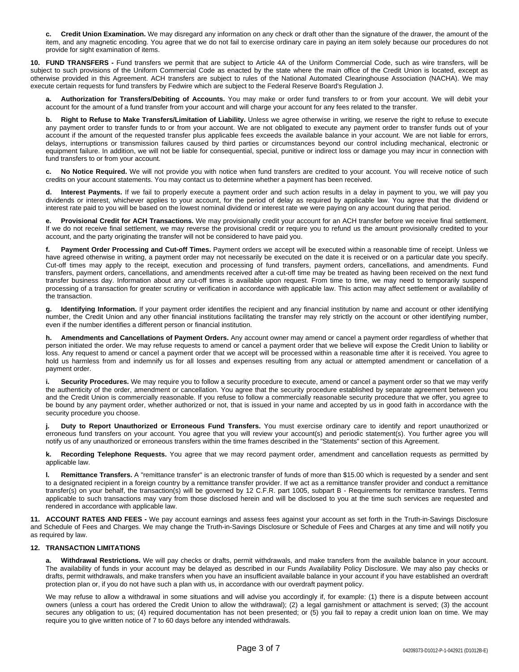**c. Credit Union Examination.** We may disregard any information on any check or draft other than the signature of the drawer, the amount of the item, and any magnetic encoding. You agree that we do not fail to exercise ordinary care in paying an item solely because our procedures do not provide for sight examination of items.

**10. FUND TRANSFERS -** Fund transfers we permit that are subject to Article 4A of the Uniform Commercial Code, such as wire transfers, will be subject to such provisions of the Uniform Commercial Code as enacted by the state where the main office of the Credit Union is located, except as otherwise provided in this Agreement. ACH transfers are subject to rules of the National Automated Clearinghouse Association (NACHA). We may execute certain requests for fund transfers by Fedwire which are subject to the Federal Reserve Board's Regulation J.

**a. Authorization for Transfers/Debiting of Accounts.** You may make or order fund transfers to or from your account. We will debit your account for the amount of a fund transfer from your account and will charge your account for any fees related to the transfer.

**b. Right to Refuse to Make Transfers/Limitation of Liability.** Unless we agree otherwise in writing, we reserve the right to refuse to execute any payment order to transfer funds to or from your account. We are not obligated to execute any payment order to transfer funds out of your account if the amount of the requested transfer plus applicable fees exceeds the available balance in your account. We are not liable for errors, delays, interruptions or transmission failures caused by third parties or circumstances beyond our control including mechanical, electronic or equipment failure. In addition, we will not be liable for consequential, special, punitive or indirect loss or damage you may incur in connection with fund transfers to or from your account.

No Notice Required. We will not provide you with notice when fund transfers are credited to your account. You will receive notice of such credits on your account statements. You may contact us to determine whether a payment has been received.

**d. Interest Payments.** If we fail to properly execute a payment order and such action results in a delay in payment to you, we will pay you dividends or interest, whichever applies to your account, for the period of delay as required by applicable law. You agree that the dividend or interest rate paid to you will be based on the lowest nominal dividend or interest rate we were paying on any account during that period.

**e. Provisional Credit for ACH Transactions.** We may provisionally credit your account for an ACH transfer before we receive final settlement. If we do not receive final settlement, we may reverse the provisional credit or require you to refund us the amount provisionally credited to your account, and the party originating the transfer will not be considered to have paid you.

Payment Order Processing and Cut-off Times. Payment orders we accept will be executed within a reasonable time of receipt. Unless we have agreed otherwise in writing, a payment order may not necessarily be executed on the date it is received or on a particular date you specify. Cut-off times may apply to the receipt, execution and processing of fund transfers, payment orders, cancellations, and amendments. Fund transfers, payment orders, cancellations, and amendments received after a cut-off time may be treated as having been received on the next fund transfer business day. Information about any cut-off times is available upon request. From time to time, we may need to temporarily suspend processing of a transaction for greater scrutiny or verification in accordance with applicable law. This action may affect settlement or availability of the transaction.

**g. Identifying Information.** If your payment order identifies the recipient and any financial institution by name and account or other identifying number, the Credit Union and any other financial institutions facilitating the transfer may rely strictly on the account or other identifying number, even if the number identifies a different person or financial institution.

**h. Amendments and Cancellations of Payment Orders.** Any account owner may amend or cancel a payment order regardless of whether that person initiated the order. We may refuse requests to amend or cancel a payment order that we believe will expose the Credit Union to liability or loss. Any request to amend or cancel a payment order that we accept will be processed within a reasonable time after it is received. You agree to hold us harmless from and indemnify us for all losses and expenses resulting from any actual or attempted amendment or cancellation of a payment order.

i. Security Procedures. We may require you to follow a security procedure to execute, amend or cancel a payment order so that we may verify the authenticity of the order, amendment or cancellation. You agree that the security procedure established by separate agreement between you and the Credit Union is commercially reasonable. If you refuse to follow a commercially reasonable security procedure that we offer, you agree to be bound by any payment order, whether authorized or not, that is issued in your name and accepted by us in good faith in accordance with the security procedure you choose.

**j. Duty to Report Unauthorized or Erroneous Fund Transfers.** You must exercise ordinary care to identify and report unauthorized or erroneous fund transfers on your account. You agree that you will review your account(s) and periodic statement(s). You further agree you will notify us of any unauthorized or erroneous transfers within the time frames described in the "Statements" section of this Agreement.

**k. Recording Telephone Requests.** You agree that we may record payment order, amendment and cancellation requests as permitted by applicable law.

**l. Remittance Transfers.** A "remittance transfer" is an electronic transfer of funds of more than \$15.00 which is requested by a sender and sent to a designated recipient in a foreign country by a remittance transfer provider. If we act as a remittance transfer provider and conduct a remittance transfer(s) on your behalf, the transaction(s) will be governed by 12 C.F.R. part 1005, subpart B - Requirements for remittance transfers. Terms applicable to such transactions may vary from those disclosed herein and will be disclosed to you at the time such services are requested and rendered in accordance with applicable law.

**11. ACCOUNT RATES AND FEES -** We pay account earnings and assess fees against your account as set forth in the Truth-in-Savings Disclosure and Schedule of Fees and Charges. We may change the Truth-in-Savings Disclosure or Schedule of Fees and Charges at any time and will notify you as required by law.

### **12. TRANSACTION LIMITATIONS**

**a. Withdrawal Restrictions.** We will pay checks or drafts, permit withdrawals, and make transfers from the available balance in your account. The availability of funds in your account may be delayed as described in our Funds Availability Policy Disclosure. We may also pay checks or drafts, permit withdrawals, and make transfers when you have an insufficient available balance in your account if you have established an overdraft protection plan or, if you do not have such a plan with us, in accordance with our overdraft payment policy.

We may refuse to allow a withdrawal in some situations and will advise you accordingly if, for example: (1) there is a dispute between account owners (unless a court has ordered the Credit Union to allow the withdrawal); (2) a legal garnishment or attachment is served; (3) the account secures any obligation to us; (4) required documentation has not been presented; or (5) you fail to repay a credit union loan on time. We may require you to give written notice of 7 to 60 days before any intended withdrawals.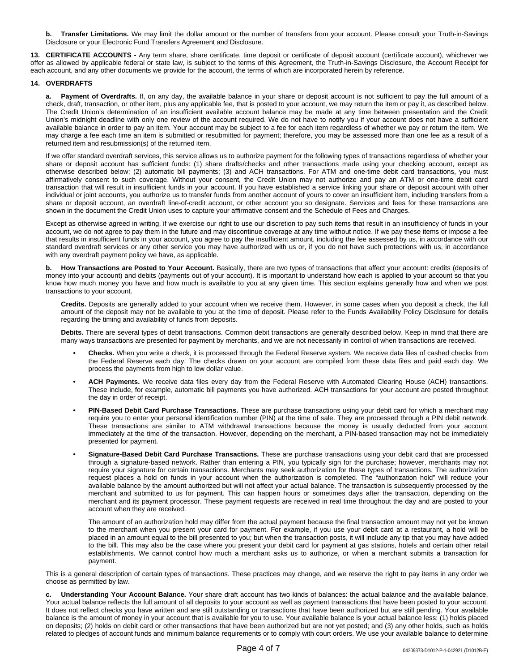**b. Transfer Limitations.** We may limit the dollar amount or the number of transfers from your account. Please consult your Truth-in-Savings Disclosure or your Electronic Fund Transfers Agreement and Disclosure.

**13. CERTIFICATE ACCOUNTS -** Any term share, share certificate, time deposit or certificate of deposit account (certificate account), whichever we offer as allowed by applicable federal or state law, is subject to the terms of this Agreement, the Truth-in-Savings Disclosure, the Account Receipt for each account, and any other documents we provide for the account, the terms of which are incorporated herein by reference.

#### **14. OVERDRAFTS**

**a. Payment of Overdrafts.** If, on any day, the available balance in your share or deposit account is not sufficient to pay the full amount of a check, draft, transaction, or other item, plus any applicable fee, that is posted to your account, we may return the item or pay it, as described below. The Credit Union's determination of an insufficient available account balance may be made at any time between presentation and the Credit Union's midnight deadline with only one review of the account required. We do not have to notify you if your account does not have a sufficient available balance in order to pay an item. Your account may be subject to a fee for each item regardless of whether we pay or return the item. We may charge a fee each time an item is submitted or resubmitted for payment; therefore, you may be assessed more than one fee as a result of a returned item and resubmission(s) of the returned item.

If we offer standard overdraft services, this service allows us to authorize payment for the following types of transactions regardless of whether your share or deposit account has sufficient funds: (1) share drafts/checks and other transactions made using your checking account, except as otherwise described below; (2) automatic bill payments; (3) and ACH transactions. For ATM and one-time debit card transactions, you must affirmatively consent to such coverage. Without your consent, the Credit Union may not authorize and pay an ATM or one-time debit card transaction that will result in insufficient funds in your account. If you have established a service linking your share or deposit account with other individual or joint accounts, you authorize us to transfer funds from another account of yours to cover an insufficient item, including transfers from a share or deposit account, an overdraft line-of-credit account, or other account you so designate. Services and fees for these transactions are shown in the document the Credit Union uses to capture your affirmative consent and the Schedule of Fees and Charges.

Except as otherwise agreed in writing, if we exercise our right to use our discretion to pay such items that result in an insufficiency of funds in your account, we do not agree to pay them in the future and may discontinue coverage at any time without notice. If we pay these items or impose a fee that results in insufficient funds in your account, you agree to pay the insufficient amount, including the fee assessed by us, in accordance with our standard overdraft services or any other service you may have authorized with us or, if you do not have such protections with us, in accordance with any overdraft payment policy we have, as applicable.

**b. How Transactions are Posted to Your Account.** Basically, there are two types of transactions that affect your account: credits (deposits of money into your account) and debits (payments out of your account). It is important to understand how each is applied to your account so that you know how much money you have and how much is available to you at any given time. This section explains generally how and when we post transactions to your account.

**Credits.** Deposits are generally added to your account when we receive them. However, in some cases when you deposit a check, the full amount of the deposit may not be available to you at the time of deposit. Please refer to the Funds Availability Policy Disclosure for details regarding the timing and availability of funds from deposits.

**Debits.** There are several types of debit transactions. Common debit transactions are generally described below. Keep in mind that there are many ways transactions are presented for payment by merchants, and we are not necessarily in control of when transactions are received.

- **Checks.** When you write a check, it is processed through the Federal Reserve system. We receive data files of cashed checks from the Federal Reserve each day. The checks drawn on your account are compiled from these data files and paid each day. We process the payments from high to low dollar value.
- **ACH Payments.** We receive data files every day from the Federal Reserve with Automated Clearing House (ACH) transactions. These include, for example, automatic bill payments you have authorized. ACH transactions for your account are posted throughout the day in order of receipt.
- **PIN-Based Debit Card Purchase Transactions.** These are purchase transactions using your debit card for which a merchant may require you to enter your personal identification number (PIN) at the time of sale. They are processed through a PIN debit network. These transactions are similar to ATM withdrawal transactions because the money is usually deducted from your account immediately at the time of the transaction. However, depending on the merchant, a PIN-based transaction may not be immediately presented for payment.
- **Signature-Based Debit Card Purchase Transactions.** These are purchase transactions using your debit card that are processed through a signature-based network. Rather than entering a PIN, you typically sign for the purchase; however, merchants may not require your signature for certain transactions. Merchants may seek authorization for these types of transactions. The authorization request places a hold on funds in your account when the authorization is completed. The "authorization hold" will reduce your available balance by the amount authorized but will not affect your actual balance. The transaction is subsequently processed by the merchant and submitted to us for payment. This can happen hours or sometimes days after the transaction, depending on the merchant and its payment processor. These payment requests are received in real time throughout the day and are posted to your account when they are received.

The amount of an authorization hold may differ from the actual payment because the final transaction amount may not yet be known to the merchant when you present your card for payment. For example, if you use your debit card at a restaurant, a hold will be placed in an amount equal to the bill presented to you; but when the transaction posts, it will include any tip that you may have added to the bill. This may also be the case where you present your debit card for payment at gas stations, hotels and certain other retail establishments. We cannot control how much a merchant asks us to authorize, or when a merchant submits a transaction for payment.

This is a general description of certain types of transactions. These practices may change, and we reserve the right to pay items in any order we choose as permitted by law.

**c. Understanding Your Account Balance.** Your share draft account has two kinds of balances: the actual balance and the available balance. Your actual balance reflects the full amount of all deposits to your account as well as payment transactions that have been posted to your account. It does not reflect checks you have written and are still outstanding or transactions that have been authorized but are still pending. Your available balance is the amount of money in your account that is available for you to use. Your available balance is your actual balance less: (1) holds placed on deposits; (2) holds on debit card or other transactions that have been authorized but are not yet posted; and (3) any other holds, such as holds related to pledges of account funds and minimum balance requirements or to comply with court orders. We use your available balance to determine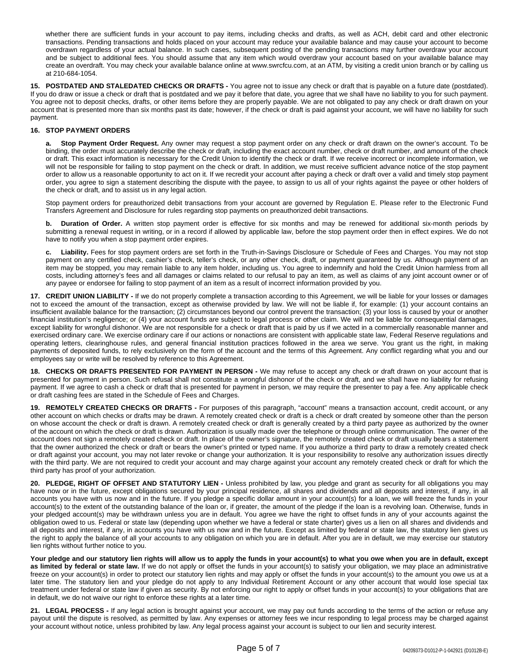whether there are sufficient funds in your account to pay items, including checks and drafts, as well as ACH, debit card and other electronic transactions. Pending transactions and holds placed on your account may reduce your available balance and may cause your account to become overdrawn regardless of your actual balance. In such cases, subsequent posting of the pending transactions may further overdraw your account and be subject to additional fees. You should assume that any item which would overdraw your account based on your available balance may create an overdraft. You may check your available balance online at www.swrcfcu.com, at an ATM, by visiting a credit union branch or by calling us at 210-684-1054.

**15. POSTDATED AND STALEDATED CHECKS OR DRAFTS -** You agree not to issue any check or draft that is payable on a future date (postdated). If you do draw or issue a check or draft that is postdated and we pay it before that date, you agree that we shall have no liability to you for such payment. You agree not to deposit checks, drafts, or other items before they are properly payable. We are not obligated to pay any check or draft drawn on your account that is presented more than six months past its date; however, if the check or draft is paid against your account, we will have no liability for such payment.

## **16. STOP PAYMENT ORDERS**

**a. Stop Payment Order Request.** Any owner may request a stop payment order on any check or draft drawn on the owner's account. To be binding, the order must accurately describe the check or draft, including the exact account number, check or draft number, and amount of the check or draft. This exact information is necessary for the Credit Union to identify the check or draft. If we receive incorrect or incomplete information, we will not be responsible for failing to stop payment on the check or draft. In addition, we must receive sufficient advance notice of the stop payment order to allow us a reasonable opportunity to act on it. If we recredit your account after paying a check or draft over a valid and timely stop payment order, you agree to sign a statement describing the dispute with the payee, to assign to us all of your rights against the payee or other holders of the check or draft, and to assist us in any legal action.

Stop payment orders for preauthorized debit transactions from your account are governed by Regulation E. Please refer to the Electronic Fund Transfers Agreement and Disclosure for rules regarding stop payments on preauthorized debit transactions.

**b. Duration of Order.** A written stop payment order is effective for six months and may be renewed for additional six-month periods by submitting a renewal request in writing, or in a record if allowed by applicable law, before the stop payment order then in effect expires. We do not have to notify you when a stop payment order expires.

**c. Liability.** Fees for stop payment orders are set forth in the Truth-in-Savings Disclosure or Schedule of Fees and Charges. You may not stop payment on any certified check, cashier's check, teller's check, or any other check, draft, or payment guaranteed by us. Although payment of an item may be stopped, you may remain liable to any item holder, including us. You agree to indemnify and hold the Credit Union harmless from all costs, including attorney's fees and all damages or claims related to our refusal to pay an item, as well as claims of any joint account owner or of any payee or endorsee for failing to stop payment of an item as a result of incorrect information provided by you.

**17. CREDIT UNION LIABILITY -** If we do not properly complete a transaction according to this Agreement, we will be liable for your losses or damages not to exceed the amount of the transaction, except as otherwise provided by law. We will not be liable if, for example: (1) your account contains an insufficient available balance for the transaction; (2) circumstances beyond our control prevent the transaction; (3) your loss is caused by your or another financial institution's negligence; or (4) your account funds are subject to legal process or other claim. We will not be liable for consequential damages, except liability for wrongful dishonor. We are not responsible for a check or draft that is paid by us if we acted in a commercially reasonable manner and exercised ordinary care. We exercise ordinary care if our actions or nonactions are consistent with applicable state law, Federal Reserve regulations and operating letters, clearinghouse rules, and general financial institution practices followed in the area we serve. You grant us the right, in making payments of deposited funds, to rely exclusively on the form of the account and the terms of this Agreement. Any conflict regarding what you and our employees say or write will be resolved by reference to this Agreement.

**18. CHECKS OR DRAFTS PRESENTED FOR PAYMENT IN PERSON -** We may refuse to accept any check or draft drawn on your account that is presented for payment in person. Such refusal shall not constitute a wrongful dishonor of the check or draft, and we shall have no liability for refusing payment. If we agree to cash a check or draft that is presented for payment in person, we may require the presenter to pay a fee. Any applicable check or draft cashing fees are stated in the Schedule of Fees and Charges.

**19. REMOTELY CREATED CHECKS OR DRAFTS -** For purposes of this paragraph, "account" means a transaction account, credit account, or any other account on which checks or drafts may be drawn. A remotely created check or draft is a check or draft created by someone other than the person on whose account the check or draft is drawn. A remotely created check or draft is generally created by a third party payee as authorized by the owner of the account on which the check or draft is drawn. Authorization is usually made over the telephone or through online communication. The owner of the account does not sign a remotely created check or draft. In place of the owner's signature, the remotely created check or draft usually bears a statement that the owner authorized the check or draft or bears the owner's printed or typed name. If you authorize a third party to draw a remotely created check or draft against your account, you may not later revoke or change your authorization. It is your responsibility to resolve any authorization issues directly with the third party. We are not required to credit your account and may charge against your account any remotely created check or draft for which the third party has proof of your authorization.

**20. PLEDGE, RIGHT OF OFFSET AND STATUTORY LIEN -** Unless prohibited by law, you pledge and grant as security for all obligations you may have now or in the future, except obligations secured by your principal residence, all shares and dividends and all deposits and interest, if any, in all accounts you have with us now and in the future. If you pledge a specific dollar amount in your account(s) for a loan, we will freeze the funds in your account(s) to the extent of the outstanding balance of the loan or, if greater, the amount of the pledge if the loan is a revolving loan. Otherwise, funds in your pledged account(s) may be withdrawn unless you are in default. You agree we have the right to offset funds in any of your accounts against the obligation owed to us. Federal or state law (depending upon whether we have a federal or state charter) gives us a lien on all shares and dividends and all deposits and interest, if any, in accounts you have with us now and in the future. Except as limited by federal or state law, the statutory lien gives us the right to apply the balance of all your accounts to any obligation on which you are in default. After you are in default, we may exercise our statutory lien rights without further notice to you.

**Your pledge and our statutory lien rights will allow us to apply the funds in your account(s) to what you owe when you are in default, except** as limited by federal or state law. If we do not apply or offset the funds in your account(s) to satisfy your obligation, we may place an administrative freeze on your account(s) in order to protect our statutory lien rights and may apply or offset the funds in your account(s) to the amount you owe us at a later time. The statutory lien and your pledge do not apply to any Individual Retirement Account or any other account that would lose special tax treatment under federal or state law if given as security. By not enforcing our right to apply or offset funds in your account(s) to your obligations that are in default, we do not waive our right to enforce these rights at a later time.

**21. LEGAL PROCESS -** If any legal action is brought against your account, we may pay out funds according to the terms of the action or refuse any payout until the dispute is resolved, as permitted by law. Any expenses or attorney fees we incur responding to legal process may be charged against your account without notice, unless prohibited by law. Any legal process against your account is subject to our lien and security interest.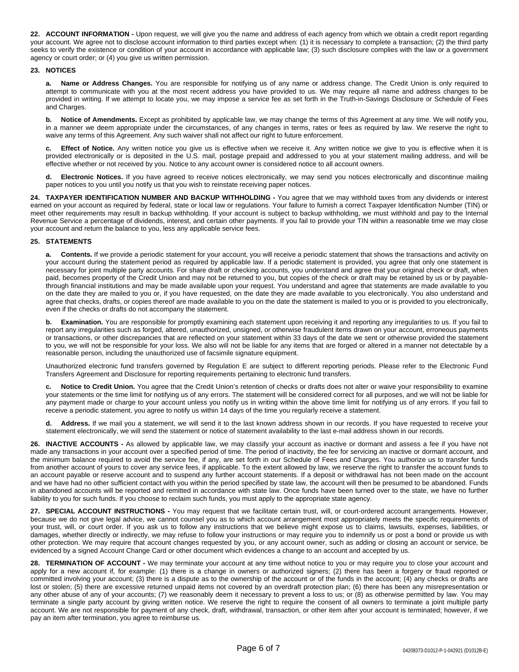**22. ACCOUNT INFORMATION -** Upon request, we will give you the name and address of each agency from which we obtain a credit report regarding your account. We agree not to disclose account information to third parties except when: (1) it is necessary to complete a transaction; (2) the third party seeks to verify the existence or condition of your account in accordance with applicable law; (3) such disclosure complies with the law or a government agency or court order; or (4) you give us written permission.

## **23. NOTICES**

**a. Name or Address Changes.** You are responsible for notifying us of any name or address change. The Credit Union is only required to attempt to communicate with you at the most recent address you have provided to us. We may require all name and address changes to be provided in writing. If we attempt to locate you, we may impose a service fee as set forth in the Truth-in-Savings Disclosure or Schedule of Fees and Charges.

**b. Notice of Amendments.** Except as prohibited by applicable law, we may change the terms of this Agreement at any time. We will notify you, in a manner we deem appropriate under the circumstances, of any changes in terms, rates or fees as required by law. We reserve the right to waive any terms of this Agreement. Any such waiver shall not affect our right to future enforcement.

**c. Effect of Notice.** Any written notice you give us is effective when we receive it. Any written notice we give to you is effective when it is provided electronically or is deposited in the U.S. mail, postage prepaid and addressed to you at your statement mailing address, and will be effective whether or not received by you. Notice to any account owner is considered notice to all account owners.

**d. Electronic Notices.** If you have agreed to receive notices electronically, we may send you notices electronically and discontinue mailing paper notices to you until you notify us that you wish to reinstate receiving paper notices.

**24. TAXPAYER IDENTIFICATION NUMBER AND BACKUP WITHHOLDING -** You agree that we may withhold taxes from any dividends or interest earned on your account as required by federal, state or local law or regulations. Your failure to furnish a correct Taxpayer Identification Number (TIN) or meet other requirements may result in backup withholding. If your account is subject to backup withholding, we must withhold and pay to the Internal Revenue Service a percentage of dividends, interest, and certain other payments. If you fail to provide your TIN within a reasonable time we may close your account and return the balance to you, less any applicable service fees.

### **25. STATEMENTS**

**a. Contents.** If we provide a periodic statement for your account, you will receive a periodic statement that shows the transactions and activity on your account during the statement period as required by applicable law. If a periodic statement is provided, you agree that only one statement is necessary for joint multiple party accounts. For share draft or checking accounts, you understand and agree that your original check or draft, when paid, becomes property of the Credit Union and may not be returned to you, but copies of the check or draft may be retained by us or by payablethrough financial institutions and may be made available upon your request. You understand and agree that statements are made available to you on the date they are mailed to you or, if you have requested, on the date they are made available to you electronically. You also understand and agree that checks, drafts, or copies thereof are made available to you on the date the statement is mailed to you or is provided to you electronically, even if the checks or drafts do not accompany the statement.

Examination. You are responsible for promptly examining each statement upon receiving it and reporting any irregularities to us. If you fail to report any irregularities such as forged, altered, unauthorized, unsigned, or otherwise fraudulent items drawn on your account, erroneous payments or transactions, or other discrepancies that are reflected on your statement within 33 days of the date we sent or otherwise provided the statement to you, we will not be responsible for your loss. We also will not be liable for any items that are forged or altered in a manner not detectable by a reasonable person, including the unauthorized use of facsimile signature equipment.

Unauthorized electronic fund transfers governed by Regulation E are subject to different reporting periods. Please refer to the Electronic Fund Transfers Agreement and Disclosure for reporting requirements pertaining to electronic fund transfers.

Notice to Credit Union. You agree that the Credit Union's retention of checks or drafts does not alter or waive your responsibility to examine your statements or the time limit for notifying us of any errors. The statement will be considered correct for all purposes, and we will not be liable for any payment made or charge to your account unless you notify us in writing within the above time limit for notifying us of any errors. If you fail to receive a periodic statement, you agree to notify us within 14 days of the time you regularly receive a statement.

**d. Address.** If we mail you a statement, we will send it to the last known address shown in our records. If you have requested to receive your statement electronically, we will send the statement or notice of statement availability to the last e-mail address shown in our records.

**26. INACTIVE ACCOUNTS -** As allowed by applicable law, we may classify your account as inactive or dormant and assess a fee if you have not made any transactions in your account over a specified period of time. The period of inactivity, the fee for servicing an inactive or dormant account, and the minimum balance required to avoid the service fee, if any, are set forth in our Schedule of Fees and Charges. You authorize us to transfer funds from another account of yours to cover any service fees, if applicable. To the extent allowed by law, we reserve the right to transfer the account funds to an account payable or reserve account and to suspend any further account statements. If a deposit or withdrawal has not been made on the account and we have had no other sufficient contact with you within the period specified by state law, the account will then be presumed to be abandoned. Funds in abandoned accounts will be reported and remitted in accordance with state law. Once funds have been turned over to the state, we have no further liability to you for such funds. If you choose to reclaim such funds, you must apply to the appropriate state agency.

**27. SPECIAL ACCOUNT INSTRUCTIONS -** You may request that we facilitate certain trust, will, or court-ordered account arrangements. However, because we do not give legal advice, we cannot counsel you as to which account arrangement most appropriately meets the specific requirements of your trust, will, or court order. If you ask us to follow any instructions that we believe might expose us to claims, lawsuits, expenses, liabilities, or damages, whether directly or indirectly, we may refuse to follow your instructions or may require you to indemnify us or post a bond or provide us with other protection. We may require that account changes requested by you, or any account owner, such as adding or closing an account or service, be evidenced by a signed Account Change Card or other document which evidences a change to an account and accepted by us.

**28. TERMINATION OF ACCOUNT -** We may terminate your account at any time without notice to you or may require you to close your account and apply for a new account if, for example: (1) there is a change in owners or authorized signers; (2) there has been a forgery or fraud reported or committed involving your account; (3) there is a dispute as to the ownership of the account or of the funds in the account; (4) any checks or drafts are lost or stolen; (5) there are excessive returned unpaid items not covered by an overdraft protection plan; (6) there has been any misrepresentation or any other abuse of any of your accounts; (7) we reasonably deem it necessary to prevent a loss to us; or (8) as otherwise permitted by law. You may terminate a single party account by giving written notice. We reserve the right to require the consent of all owners to terminate a joint multiple party account. We are not responsible for payment of any check, draft, withdrawal, transaction, or other item after your account is terminated; however, if we pay an item after termination, you agree to reimburse us.